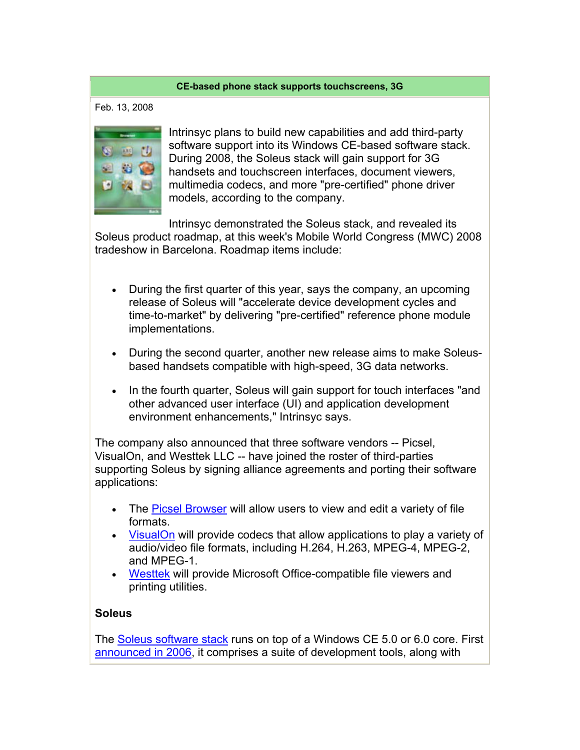## **CE-based phone stack supports touchscreens, 3G**

Feb. 13, 2008



Intrinsyc plans to build new capabilities and add third-party software support into its Windows CE-based software stack. During 2008, the Soleus stack will gain support for 3G handsets and touchscreen interfaces, document viewers, multimedia codecs, and more "pre-certified" phone driver models, according to the company.

Intrinsyc demonstrated the Soleus stack, and revealed its Soleus product roadmap, at this week's Mobile World Congress (MWC) 2008 tradeshow in Barcelona. Roadmap items include:

- During the first quarter of this year, says the company, an upcoming release of Soleus will "accelerate device development cycles and time-to-market" by delivering "pre-certified" reference phone module implementations.
- During the second quarter, another new release aims to make Soleusbased handsets compatible with high-speed, 3G data networks.
- In the fourth quarter, Soleus will gain support for touch interfaces "and other advanced user interface (UI) and application development environment enhancements," Intrinsyc says.

The company also announced that three software vendors -- Picsel, VisualOn, and Westtek LLC -- have joined the roster of third-parties supporting Soleus by signing alliance agreements and porting their software applications:

- The Picsel Browser will allow users to view and edit a variety of file formats.
- VisualOn will provide codecs that allow applications to play a variety of audio/video file formats, including H.264, H.263, MPEG-4, MPEG-2, and MPEG-1.
- Westtek will provide Microsoft Office-compatible file viewers and printing utilities.

## **Soleus**

The Soleus software stack runs on top of a Windows CE 5.0 or 6.0 core. First announced in 2006, it comprises a suite of development tools, along with